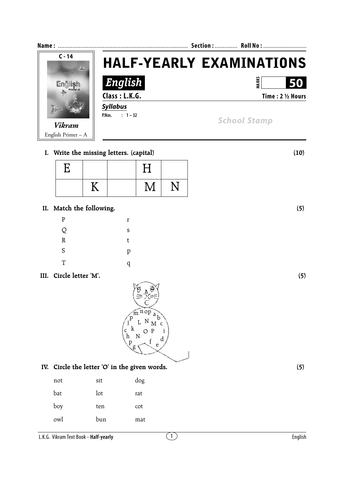| <b>Name</b>                     | Section:  Roll No :  |                                 |  |
|---------------------------------|----------------------|---------------------------------|--|
| $C - 14$<br>24<br><b>VIKRAM</b> |                      | <b>HALF-YEARLY EXAMINATIONS</b> |  |
|                                 | English              | <b>MARK</b><br>50               |  |
| Primer-A                        | Class: L.K.G.        | Time: 2 1/2 Hours               |  |
|                                 | <b>Syllabus</b>      |                                 |  |
|                                 | $: 1 - 32$<br>P.Nos. | <b>School Stamp</b>             |  |
| <b>Vikram</b>                   |                      |                                 |  |
| English Primer $- A$            |                      |                                 |  |

## **I. Write the missing letters. (capital) (10)**

| E |    | $\rm H$ |  |
|---|----|---------|--|
|   | TT | $\rm M$ |  |

## **II. Match the following. (5)**

| $\mathbf{P}$ | r |
|--------------|---|
| Q            | S |
| $\mathbb R$  | t |
| S            | p |
| T            | q |

## **III. Circle letter 'M'. (5)**

| $\overline{\text{nop}}$ a<br>m<br>$\mathbf{p}$<br>$N \prod_{M}^{b}$<br>L<br>í<br>$\mathbf k$<br>$\mathbf P$<br>C<br>С<br>N<br>d |
|---------------------------------------------------------------------------------------------------------------------------------|
| $\begin{array}{c} h \\ p \end{array}$<br>e<br>$\mathfrak g$                                                                     |

## **IV. Circle the letter 'O' in the given words. (5)**

| not | sit | dog |
|-----|-----|-----|
| bat | lot | rat |
| boy | ten | cot |
| owl | bun | mat |